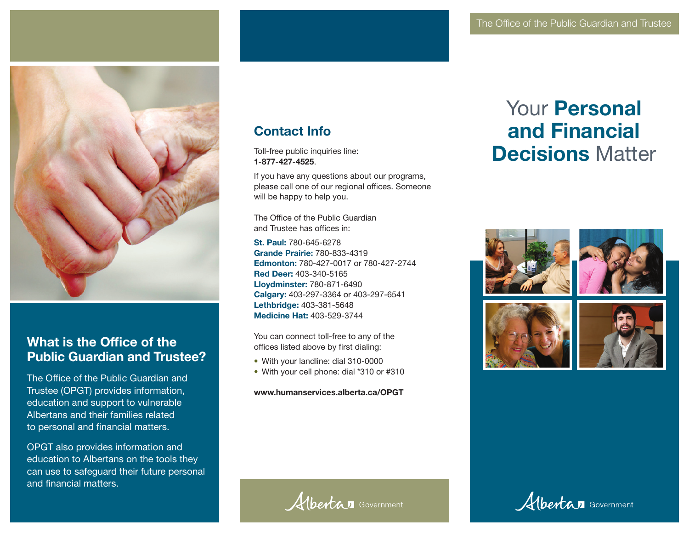

# What is the Office of the Public Guardian and Trustee?

The Office of the Public Guardian and Trustee (OPGT) provides information, education and support to vulnerable Albertans and their families related to personal and financial matters.

OPGT also provides information and education to Albertans on the tools they can use to safeguard their future personal and financial matters.

# Contact Info

Toll-free public inquiries line: 1-877-427-4525.

If you have any questions about our programs, please call one of our regional offices. Someone will be happy to help you.

The Office of the Public Guardian and Trustee has offices in:

St. Paul: 780-645-6278 Grande Prairie: 780-833-4319 Edmonton: 780-427-0017 or 780-427-2744 Red Deer: 403-340-5165 Lloydminster: 780-871-6490 Calgary: 403-297-3364 or 403-297-6541 Lethbridge: 403-381-5648 Medicine Hat: 403-529-3744

You can connect toll-free to any of the offices listed above by first dialing:

- With your landline: dial 310-0000
- With your cell phone: dial \*310 or #310

www.humanservices.alberta.ca/OPGT

Albertan Government

# Your Personal and Financial Decisions Matter





Albertan Government